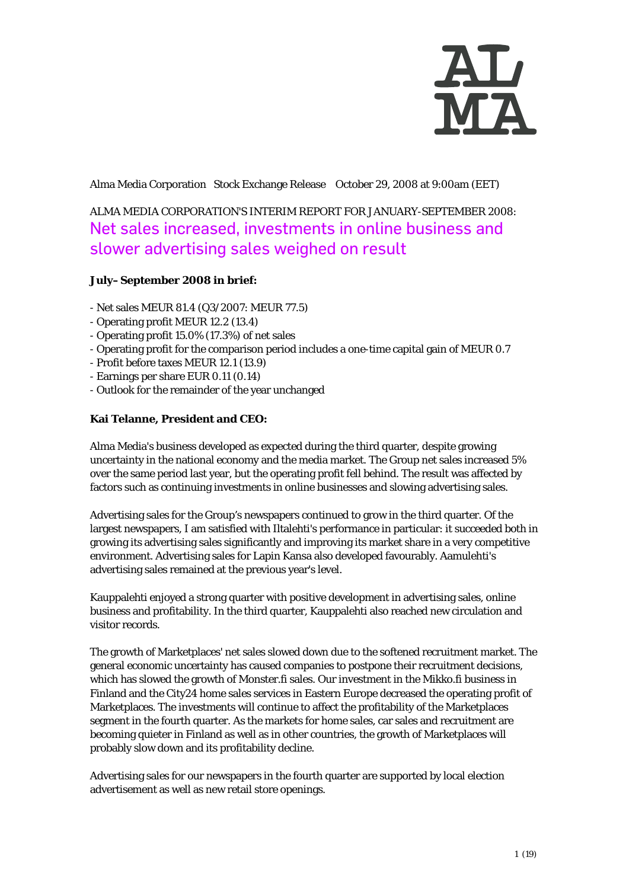

Alma Media Corporation Stock Exchange Release October 29, 2008 at 9:00am (EET)

## ALMA MEDIA CORPORATION'S INTERIM REPORT FOR JANUARY-SEPTEMBER 2008: Net sales increased, investments in online business and slower advertising sales weighed on result

#### **July–September 2008 in brief:**

- Net sales MEUR 81.4 (Q3/2007: MEUR 77.5)
- Operating profit MEUR 12.2 (13.4)
- Operating profit 15.0% (17.3%) of net sales
- Operating profit for the comparison period includes a one-time capital gain of MEUR 0.7
- Profit before taxes MEUR 12.1 (13.9)
- Earnings per share EUR 0.11 (0.14)
- Outlook for the remainder of the year unchanged

#### **Kai Telanne, President and CEO:**

Alma Media's business developed as expected during the third quarter, despite growing uncertainty in the national economy and the media market. The Group net sales increased 5% over the same period last year, but the operating profit fell behind. The result was affected by factors such as continuing investments in online businesses and slowing advertising sales.

Advertising sales for the Group's newspapers continued to grow in the third quarter. Of the largest newspapers, I am satisfied with Iltalehti's performance in particular: it succeeded both in growing its advertising sales significantly and improving its market share in a very competitive environment. Advertising sales for Lapin Kansa also developed favourably. Aamulehti's advertising sales remained at the previous year's level.

Kauppalehti enjoyed a strong quarter with positive development in advertising sales, online business and profitability. In the third quarter, Kauppalehti also reached new circulation and visitor records.

The growth of Marketplaces' net sales slowed down due to the softened recruitment market. The general economic uncertainty has caused companies to postpone their recruitment decisions, which has slowed the growth of Monster.fi sales. Our investment in the Mikko.fi business in Finland and the City24 home sales services in Eastern Europe decreased the operating profit of Marketplaces. The investments will continue to affect the profitability of the Marketplaces segment in the fourth quarter. As the markets for home sales, car sales and recruitment are becoming quieter in Finland as well as in other countries, the growth of Marketplaces will probably slow down and its profitability decline.

Advertising sales for our newspapers in the fourth quarter are supported by local election advertisement as well as new retail store openings.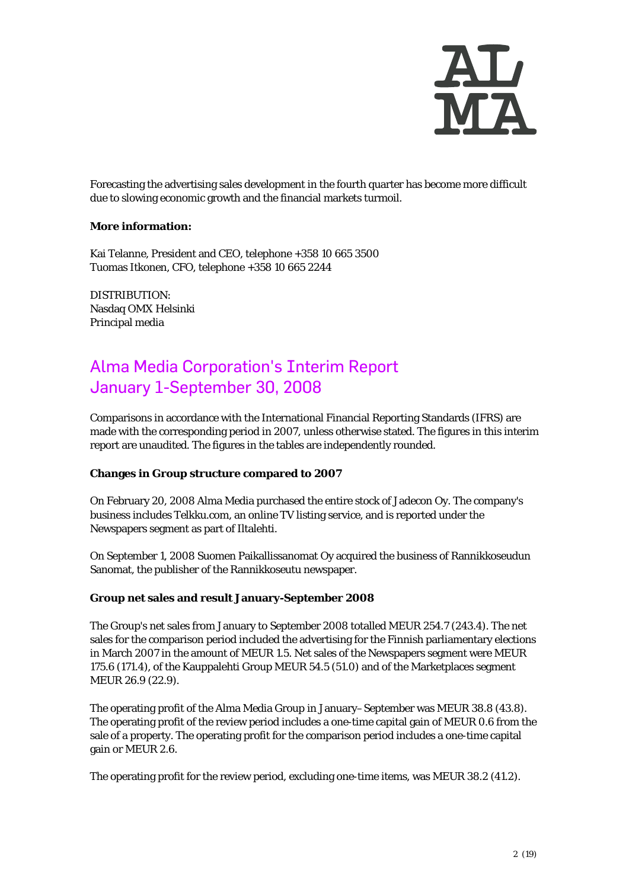

Forecasting the advertising sales development in the fourth quarter has become more difficult due to slowing economic growth and the financial markets turmoil.

#### **More information:**

Kai Telanne, President and CEO, telephone +358 10 665 3500 Tuomas Itkonen, CFO, telephone +358 10 665 2244

DISTRIBUTION: Nasdaq OMX Helsinki Principal media

# Alma Media Corporation's Interim Report January 1-September 30, 2008

Comparisons in accordance with the International Financial Reporting Standards (IFRS) are made with the corresponding period in 2007, unless otherwise stated. The figures in this interim report are unaudited. The figures in the tables are independently rounded.

#### **Changes in Group structure compared to 2007**

On February 20, 2008 Alma Media purchased the entire stock of Jadecon Oy. The company's business includes Telkku.com, an online TV listing service, and is reported under the Newspapers segment as part of Iltalehti.

On September 1, 2008 Suomen Paikallissanomat Oy acquired the business of Rannikkoseudun Sanomat, the publisher of the Rannikkoseutu newspaper.

#### **Group net sales and result January-September 2008**

The Group's net sales from January to September 2008 totalled MEUR 254.7 (243.4). The net sales for the comparison period included the advertising for the Finnish parliamentary elections in March 2007 in the amount of MEUR 1.5. Net sales of the Newspapers segment were MEUR 175.6 (171.4), of the Kauppalehti Group MEUR 54.5 (51.0) and of the Marketplaces segment MEUR 26.9 (22.9).

The operating profit of the Alma Media Group in January–September was MEUR 38.8 (43.8). The operating profit of the review period includes a one-time capital gain of MEUR 0.6 from the sale of a property. The operating profit for the comparison period includes a one-time capital gain or MEUR 2.6.

The operating profit for the review period, excluding one-time items, was MEUR 38.2 (41.2).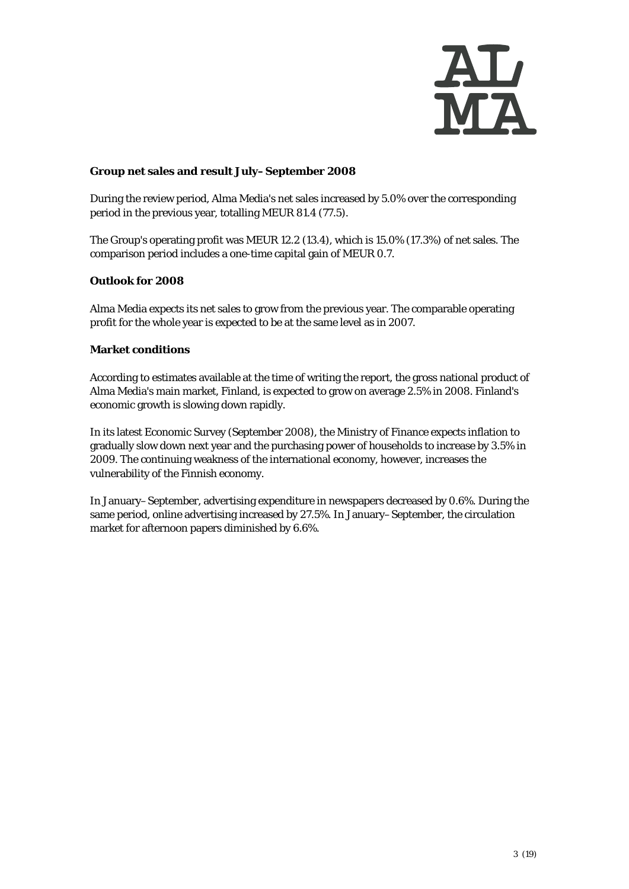

#### **Group net sales and result July–September 2008**

During the review period, Alma Media's net sales increased by 5.0% over the corresponding period in the previous year, totalling MEUR 81.4 (77.5).

The Group's operating profit was MEUR 12.2 (13.4), which is 15.0% (17.3%) of net sales. The comparison period includes a one-time capital gain of MEUR 0.7.

#### **Outlook for 2008**

Alma Media expects its net sales to grow from the previous year. The comparable operating profit for the whole year is expected to be at the same level as in 2007.

#### **Market conditions**

According to estimates available at the time of writing the report, the gross national product of Alma Media's main market, Finland, is expected to grow on average 2.5% in 2008. Finland's economic growth is slowing down rapidly.

In its latest Economic Survey (September 2008), the Ministry of Finance expects inflation to gradually slow down next year and the purchasing power of households to increase by 3.5% in 2009. The continuing weakness of the international economy, however, increases the vulnerability of the Finnish economy.

In January–September, advertising expenditure in newspapers decreased by 0.6%. During the same period, online advertising increased by 27.5%. In January–September, the circulation market for afternoon papers diminished by 6.6%.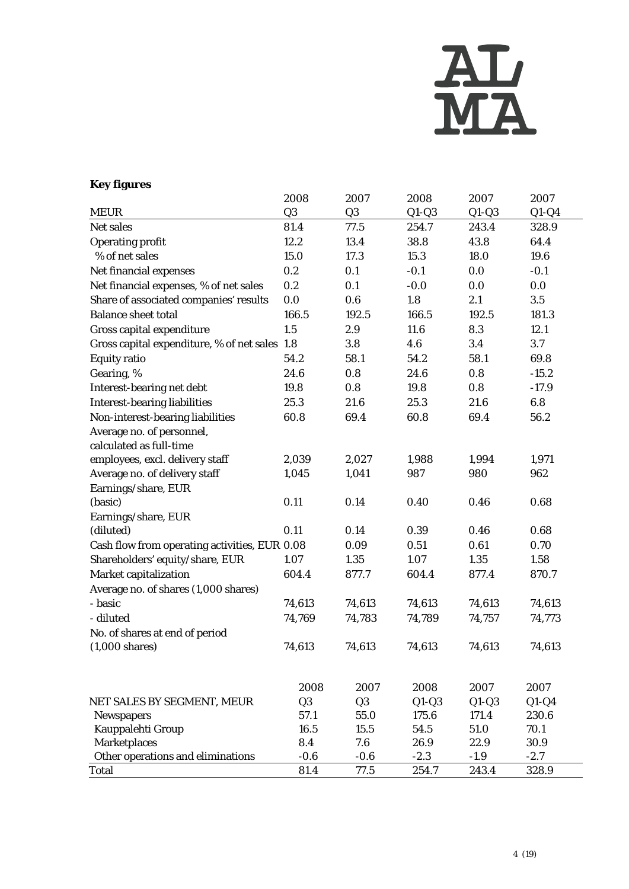

### **Key figures**

|                                               | 2008           | 2007           | 2008    | 2007    | 2007    |
|-----------------------------------------------|----------------|----------------|---------|---------|---------|
| <b>MEUR</b>                                   | Q <sub>3</sub> | Q <sub>3</sub> | $Q1-Q3$ | $Q1-Q3$ | $Q1-Q4$ |
| Net sales                                     | 81.4           | 77.5           | 254.7   | 243.4   | 328.9   |
| <b>Operating profit</b>                       | 12.2           | 13.4           | 38.8    | 43.8    | 64.4    |
| % of net sales                                | 15.0           | 17.3           | 15.3    | 18.0    | 19.6    |
| Net financial expenses                        | 0.2            | 0.1            | $-0.1$  | 0.0     | $-0.1$  |
| Net financial expenses, % of net sales        | 0.2            | 0.1            | $-0.0$  | 0.0     | 0.0     |
| Share of associated companies' results        | 0.0            | 0.6            | 1.8     | 2.1     | 3.5     |
| <b>Balance sheet total</b>                    | 166.5          | 192.5          | 166.5   | 192.5   | 181.3   |
| Gross capital expenditure                     | 1.5            | 2.9            | 11.6    | 8.3     | 12.1    |
| Gross capital expenditure, % of net sales 1.8 |                | 3.8            | 4.6     | 3.4     | 3.7     |
| <b>Equity ratio</b>                           | 54.2           | 58.1           | 54.2    | 58.1    | 69.8    |
| Gearing, %                                    | 24.6           | 0.8            | 24.6    | 0.8     | $-15.2$ |
| Interest-bearing net debt                     | 19.8           | 0.8            | 19.8    | 0.8     | $-17.9$ |
| <b>Interest-bearing liabilities</b>           | 25.3           | 21.6           | 25.3    | 21.6    | 6.8     |
| Non-interest-bearing liabilities              | 60.8           | 69.4           | 60.8    | 69.4    | 56.2    |
| Average no. of personnel,                     |                |                |         |         |         |
| calculated as full-time                       |                |                |         |         |         |
| employees, excl. delivery staff               | 2,039          | 2,027          | 1,988   | 1,994   | 1,971   |
| Average no. of delivery staff                 | 1,045          | 1,041          | 987     | 980     | 962     |
| Earnings/share, EUR                           |                |                |         |         |         |
| (basic)                                       | 0.11           | 0.14           | 0.40    | 0.46    | 0.68    |
| Earnings/share, EUR                           |                |                |         |         |         |
| (diluted)                                     | 0.11           | 0.14           | 0.39    | 0.46    | 0.68    |
| Cash flow from operating activities, EUR 0.08 |                | 0.09           | 0.51    | 0.61    | 0.70    |
| Shareholders' equity/share, EUR               | 1.07           | 1.35           | 1.07    | 1.35    | 1.58    |
| Market capitalization                         | 604.4          | 877.7          | 604.4   | 877.4   | 870.7   |
| Average no. of shares (1,000 shares)          |                |                |         |         |         |
| - basic                                       | 74,613         | 74,613         | 74,613  | 74,613  | 74,613  |
| - diluted                                     | 74,769         | 74,783         | 74,789  | 74,757  | 74,773  |
| No. of shares at end of period                |                |                |         |         |         |
| $(1,000 \text{ shares})$                      | 74,613         | 74,613         | 74,613  | 74,613  | 74,613  |
|                                               |                |                |         |         |         |
|                                               |                |                |         |         |         |
|                                               | 2008           | 2007           | 2008    | 2007    | 2007    |
| NET SALES BY SEGMENT, MEUR                    | Q <sub>3</sub> | Q <sub>3</sub> | $Q1-Q3$ | $Q1-Q3$ | $Q1-Q4$ |
| <b>Newspapers</b>                             | 57.1           | 55.0           | 175.6   | 171.4   | 230.6   |
| Kauppalehti Group                             | 16.5           | 15.5           | 54.5    | 51.0    | 70.1    |
| <b>Marketplaces</b>                           | 8.4            | 7.6            | 26.9    | 22.9    | 30.9    |
| Other operations and eliminations             | $-0.6$         | $-0.6$         | $-2.3$  | $-1.9$  | $-2.7$  |
| Total                                         | 81.4           | 77.5           | 254.7   | 243.4   | 328.9   |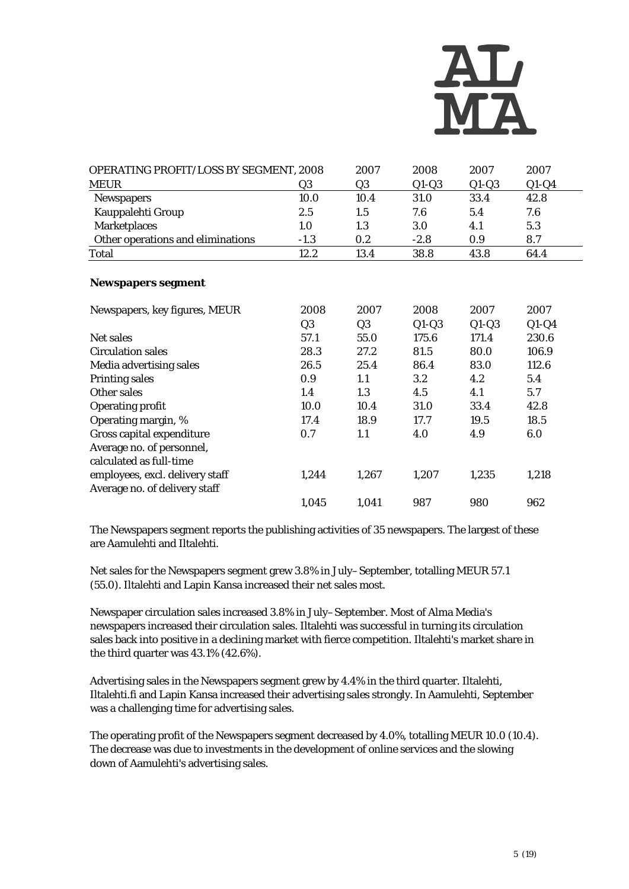

| OPERATING PROFIT/LOSS BY SEGMENT, 2008 |        | 2007 | 2008    | 2007    | 2007    |
|----------------------------------------|--------|------|---------|---------|---------|
| <b>MEUR</b>                            | Q3     | Q3   | $Q1-Q3$ | $Q1-Q3$ | $Q1-Q4$ |
| <b>Newspapers</b>                      | 10.0   | 10.4 | 31.0    | 33.4    | 42.8    |
| Kauppalehti Group                      | 2.5    | 1.5  | 7.6     | 5.4     | 7.6     |
| <b>Marketplaces</b>                    | 1.0    | 1.3  | 3.0     | 4.1     | 5.3     |
| Other operations and eliminations      | $-1.3$ | 0.2  | $-2.8$  | 0.9     | 8.7     |
| <b>Total</b>                           | 12.2   | 13.4 | 38.8    | 43.8    | 64.4    |

#### **Newspapers segment**

| Newspapers, key figures, MEUR   | 2008           | 2007           | 2008    | 2007    | 2007    |
|---------------------------------|----------------|----------------|---------|---------|---------|
|                                 | Q <sub>3</sub> | Q <sub>3</sub> | $Q1-Q3$ | $Q1-Q3$ | $Q1-Q4$ |
| Net sales                       | 57.1           | 55.0           | 175.6   | 171.4   | 230.6   |
| <b>Circulation sales</b>        | 28.3           | 27.2           | 81.5    | 80.0    | 106.9   |
| Media advertising sales         | 26.5           | 25.4           | 86.4    | 83.0    | 112.6   |
| <b>Printing sales</b>           | 0.9            | 1.1            | $3.2\,$ | 4.2     | 5.4     |
| Other sales                     | 1.4            | 1.3            | 4.5     | 4.1     | 5.7     |
| <b>Operating profit</b>         | 10.0           | 10.4           | 31.0    | 33.4    | 42.8    |
| Operating margin, %             | 17.4           | 18.9           | 17.7    | 19.5    | 18.5    |
| Gross capital expenditure       | 0.7            | 1.1            | 4.0     | 4.9     | 6.0     |
| Average no. of personnel,       |                |                |         |         |         |
| calculated as full-time         |                |                |         |         |         |
| employees, excl. delivery staff | 1,244          | 1,267          | 1,207   | 1,235   | 1,218   |
| Average no. of delivery staff   |                |                |         |         |         |
|                                 | 1,045          | 1,041          | 987     | 980     | 962     |

The Newspapers segment reports the publishing activities of 35 newspapers. The largest of these are Aamulehti and Iltalehti.

Net sales for the Newspapers segment grew 3.8% in July–September, totalling MEUR 57.1 (55.0). Iltalehti and Lapin Kansa increased their net sales most.

Newspaper circulation sales increased 3.8% in July–September. Most of Alma Media's newspapers increased their circulation sales. Iltalehti was successful in turning its circulation sales back into positive in a declining market with fierce competition. Iltalehti's market share in the third quarter was 43.1% (42.6%).

Advertising sales in the Newspapers segment grew by 4.4% in the third quarter. Iltalehti, Iltalehti.fi and Lapin Kansa increased their advertising sales strongly. In Aamulehti, September was a challenging time for advertising sales.

The operating profit of the Newspapers segment decreased by 4.0%, totalling MEUR 10.0 (10.4). The decrease was due to investments in the development of online services and the slowing down of Aamulehti's advertising sales.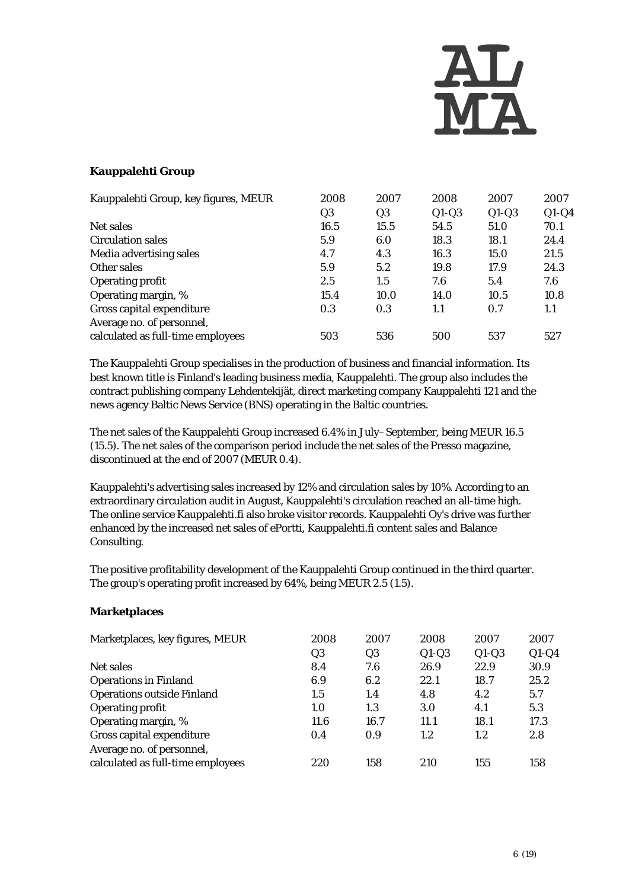

#### **Kauppalehti Group**

| Kauppalehti Group, key figures, MEUR | 2008           | 2007           | 2008    | 2007    | 2007    |
|--------------------------------------|----------------|----------------|---------|---------|---------|
|                                      | Q <sub>3</sub> | Q <sub>3</sub> | $Q1-Q3$ | $Q1-Q3$ | $Q1-Q4$ |
| Net sales                            | 16.5           | 15.5           | 54.5    | 51.0    | 70.1    |
| <b>Circulation sales</b>             | 5.9            | 6.0            | 18.3    | 18.1    | 24.4    |
| Media advertising sales              | 4.7            | 4.3            | 16.3    | 15.0    | 21.5    |
| Other sales                          | 5.9            | 5.2            | 19.8    | 17.9    | 24.3    |
| <b>Operating profit</b>              | 2.5            | 1.5            | 7.6     | 5.4     | 7.6     |
| Operating margin, %                  | 15.4           | 10.0           | 14.0    | 10.5    | 10.8    |
| Gross capital expenditure            | 0.3            | 0.3            | 1.1     | 0.7     | 1.1     |
| Average no. of personnel,            |                |                |         |         |         |
| calculated as full-time employees    | 503            | 536            | 500     | 537     | 527     |

The Kauppalehti Group specialises in the production of business and financial information. Its best known title is Finland's leading business media, Kauppalehti. The group also includes the contract publishing company Lehdentekijät, direct marketing company Kauppalehti 121 and the news agency Baltic News Service (BNS) operating in the Baltic countries.

The net sales of the Kauppalehti Group increased 6.4% in July–September, being MEUR 16.5 (15.5). The net sales of the comparison period include the net sales of the Presso magazine, discontinued at the end of 2007 (MEUR 0.4).

Kauppalehti's advertising sales increased by 12% and circulation sales by 10%. According to an extraordinary circulation audit in August, Kauppalehti's circulation reached an all-time high. The online service Kauppalehti.fi also broke visitor records. Kauppalehti Oy's drive was further enhanced by the increased net sales of ePortti, Kauppalehti.fi content sales and Balance Consulting.

The positive profitability development of the Kauppalehti Group continued in the third quarter. The group's operating profit increased by 64%, being MEUR 2.5 (1.5).

#### **Marketplaces**

| Marketplaces, key figures, MEUR                                | 2008<br>Q3 | 2007<br>Q <sub>3</sub> | 2008<br>$Q1-Q3$ | 2007<br>$Q1-Q3$ | 2007<br>$Q1-Q4$ |
|----------------------------------------------------------------|------------|------------------------|-----------------|-----------------|-----------------|
| Net sales                                                      | 8.4        | 7.6                    | 26.9            | 22.9            | 30.9            |
| <b>Operations in Finland</b>                                   | 6.9        | 6.2                    | 22.1            | 18.7            | 25.2            |
| <b>Operations outside Finland</b>                              | 1.5        | 1.4                    | 4.8             | 4.2             | 5.7             |
| <b>Operating profit</b>                                        | 1.0        | 1.3                    | 3.0             | 4.1             | 5.3             |
| Operating margin, %                                            | 11.6       | 16.7                   | 11.1            | 18.1            | 17.3            |
| Gross capital expenditure                                      | 0.4        | 0.9                    | 1.2             | 1.2             | 2.8             |
| Average no. of personnel,<br>calculated as full-time employees | 220        | 158                    | 210             | 155             | 158             |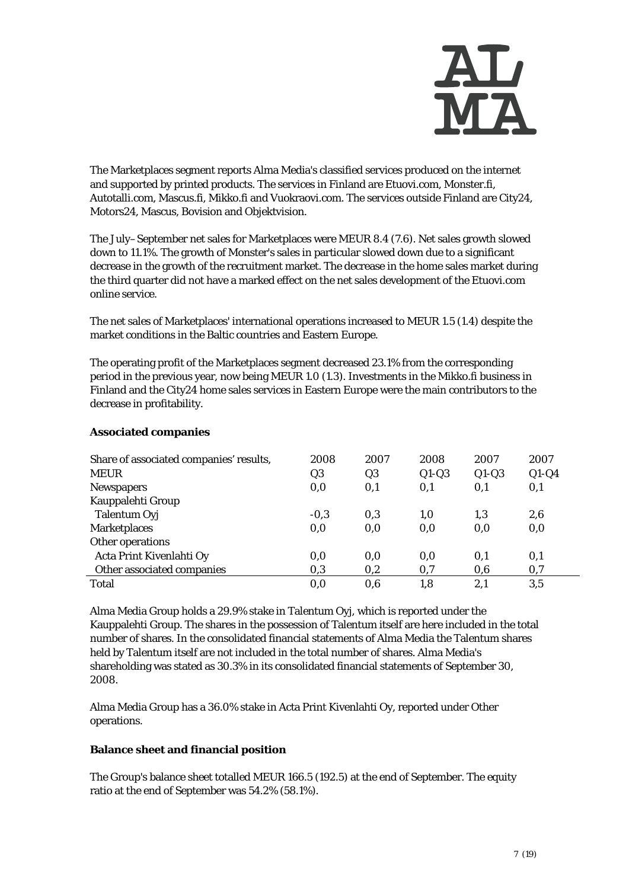

The Marketplaces segment reports Alma Media's classified services produced on the internet and supported by printed products. The services in Finland are Etuovi.com, Monster.fi, Autotalli.com, Mascus.fi, Mikko.fi and Vuokraovi.com. The services outside Finland are City24, Motors24, Mascus, Bovision and Objektvision.

The July–September net sales for Marketplaces were MEUR 8.4 (7.6). Net sales growth slowed down to 11.1%. The growth of Monster's sales in particular slowed down due to a significant decrease in the growth of the recruitment market. The decrease in the home sales market during the third quarter did not have a marked effect on the net sales development of the Etuovi.com online service.

The net sales of Marketplaces' international operations increased to MEUR 1.5 (1.4) despite the market conditions in the Baltic countries and Eastern Europe.

The operating profit of the Marketplaces segment decreased 23.1% from the corresponding period in the previous year, now being MEUR 1.0 (1.3). Investments in the Mikko.fi business in Finland and the City24 home sales services in Eastern Europe were the main contributors to the decrease in profitability.

| Share of associated companies' results,<br><b>MEUR</b> | 2008<br>Q3 | 2007<br>Q3 | 2008<br>$Q1-Q3$ | 2007<br>$Q1-Q3$ | 2007<br>$Q1-Q4$ |
|--------------------------------------------------------|------------|------------|-----------------|-----------------|-----------------|
| <b>Newspapers</b>                                      | 0,0        | 0,1        | 0,1             | 0,1             | 0,1             |
| Kauppalehti Group                                      |            |            |                 |                 |                 |
| Talentum Oyj                                           | $-0.3$     | 0,3        | 1,0             | 1,3             | 2,6             |
| <b>Marketplaces</b>                                    | 0,0        | 0,0        | 0,0             | 0.0             | 0,0             |
| Other operations                                       |            |            |                 |                 |                 |
| Acta Print Kivenlahti Oy                               | 0,0        | 0,0        | 0,0             | 0,1             | 0,1             |
| Other associated companies                             | 0,3        | 0,2        | 0,7             | 0,6             | 0,7             |
| <b>Total</b>                                           | 0,0        | 0.6        | 1,8             | 2,1             | 3,5             |

#### **Associated companies**

Alma Media Group holds a 29.9% stake in Talentum Oyj, which is reported under the Kauppalehti Group. The shares in the possession of Talentum itself are here included in the total number of shares. In the consolidated financial statements of Alma Media the Talentum shares held by Talentum itself are not included in the total number of shares. Alma Media's shareholding was stated as 30.3% in its consolidated financial statements of September 30, 2008.

Alma Media Group has a 36.0% stake in Acta Print Kivenlahti Oy, reported under Other operations.

#### **Balance sheet and financial position**

The Group's balance sheet totalled MEUR 166.5 (192.5) at the end of September. The equity ratio at the end of September was 54.2% (58.1%).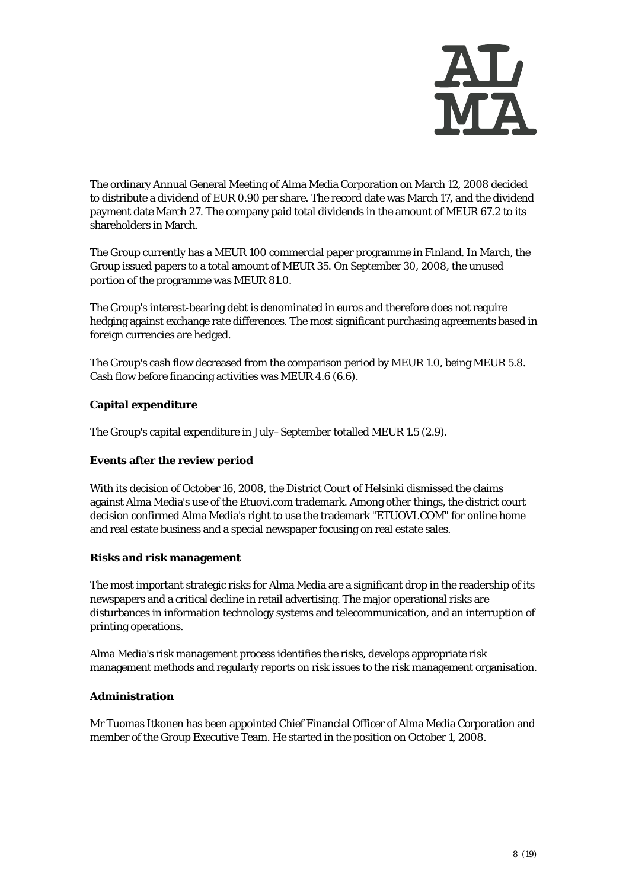

The ordinary Annual General Meeting of Alma Media Corporation on March 12, 2008 decided to distribute a dividend of EUR 0.90 per share. The record date was March 17, and the dividend payment date March 27. The company paid total dividends in the amount of MEUR 67.2 to its shareholders in March.

The Group currently has a MEUR 100 commercial paper programme in Finland. In March, the Group issued papers to a total amount of MEUR 35. On September 30, 2008, the unused portion of the programme was MEUR 81.0.

The Group's interest-bearing debt is denominated in euros and therefore does not require hedging against exchange rate differences. The most significant purchasing agreements based in foreign currencies are hedged.

The Group's cash flow decreased from the comparison period by MEUR 1.0, being MEUR 5.8. Cash flow before financing activities was MEUR 4.6 (6.6).

#### **Capital expenditure**

The Group's capital expenditure in July–September totalled MEUR 1.5 (2.9).

#### **Events after the review period**

With its decision of October 16, 2008, the District Court of Helsinki dismissed the claims against Alma Media's use of the Etuovi.com trademark. Among other things, the district court decision confirmed Alma Media's right to use the trademark "ETUOVI.COM" for online home and real estate business and a special newspaper focusing on real estate sales.

#### **Risks and risk management**

The most important strategic risks for Alma Media are a significant drop in the readership of its newspapers and a critical decline in retail advertising. The major operational risks are disturbances in information technology systems and telecommunication, and an interruption of printing operations.

Alma Media's risk management process identifies the risks, develops appropriate risk management methods and regularly reports on risk issues to the risk management organisation.

#### **Administration**

Mr Tuomas Itkonen has been appointed Chief Financial Officer of Alma Media Corporation and member of the Group Executive Team. He started in the position on October 1, 2008.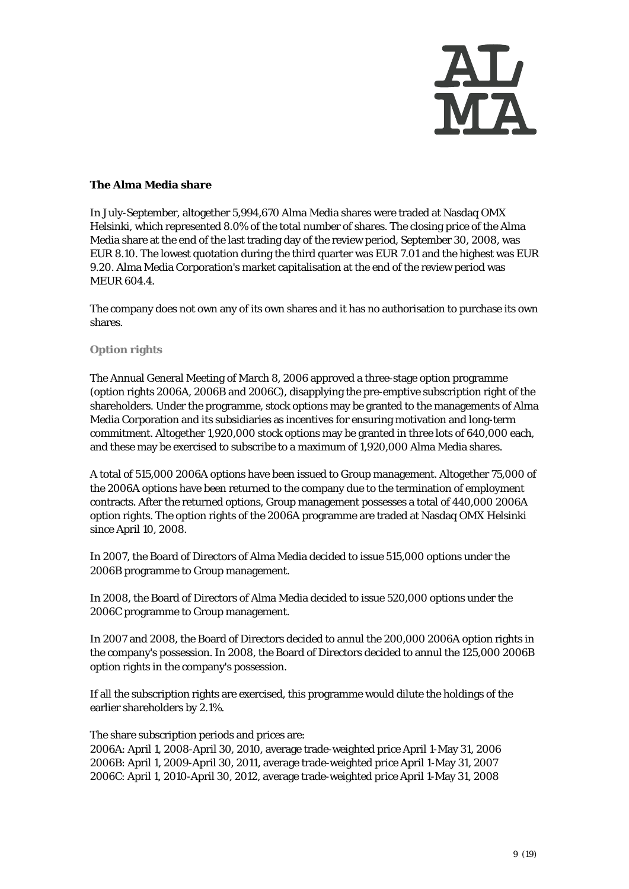

#### **The Alma Media share**

In July-September, altogether 5,994,670 Alma Media shares were traded at Nasdaq OMX Helsinki, which represented 8.0% of the total number of shares. The closing price of the Alma Media share at the end of the last trading day of the review period, September 30, 2008, was EUR 8.10. The lowest quotation during the third quarter was EUR 7.01 and the highest was EUR 9.20. Alma Media Corporation's market capitalisation at the end of the review period was MEUR 604.4.

The company does not own any of its own shares and it has no authorisation to purchase its own shares.

#### **Option rights**

The Annual General Meeting of March 8, 2006 approved a three-stage option programme (option rights 2006A, 2006B and 2006C), disapplying the pre-emptive subscription right of the shareholders. Under the programme, stock options may be granted to the managements of Alma Media Corporation and its subsidiaries as incentives for ensuring motivation and long-term commitment. Altogether 1,920,000 stock options may be granted in three lots of 640,000 each, and these may be exercised to subscribe to a maximum of 1,920,000 Alma Media shares.

A total of 515,000 2006A options have been issued to Group management. Altogether 75,000 of the 2006A options have been returned to the company due to the termination of employment contracts. After the returned options, Group management possesses a total of 440,000 2006A option rights. The option rights of the 2006A programme are traded at Nasdaq OMX Helsinki since April 10, 2008.

In 2007, the Board of Directors of Alma Media decided to issue 515,000 options under the 2006B programme to Group management.

In 2008, the Board of Directors of Alma Media decided to issue 520,000 options under the 2006C programme to Group management.

In 2007 and 2008, the Board of Directors decided to annul the 200,000 2006A option rights in the company's possession. In 2008, the Board of Directors decided to annul the 125,000 2006B option rights in the company's possession.

If all the subscription rights are exercised, this programme would dilute the holdings of the earlier shareholders by 2.1%.

The share subscription periods and prices are:

2006A: April 1, 2008-April 30, 2010, average trade-weighted price April 1-May 31, 2006 2006B: April 1, 2009-April 30, 2011, average trade-weighted price April 1-May 31, 2007 2006C: April 1, 2010-April 30, 2012, average trade-weighted price April 1-May 31, 2008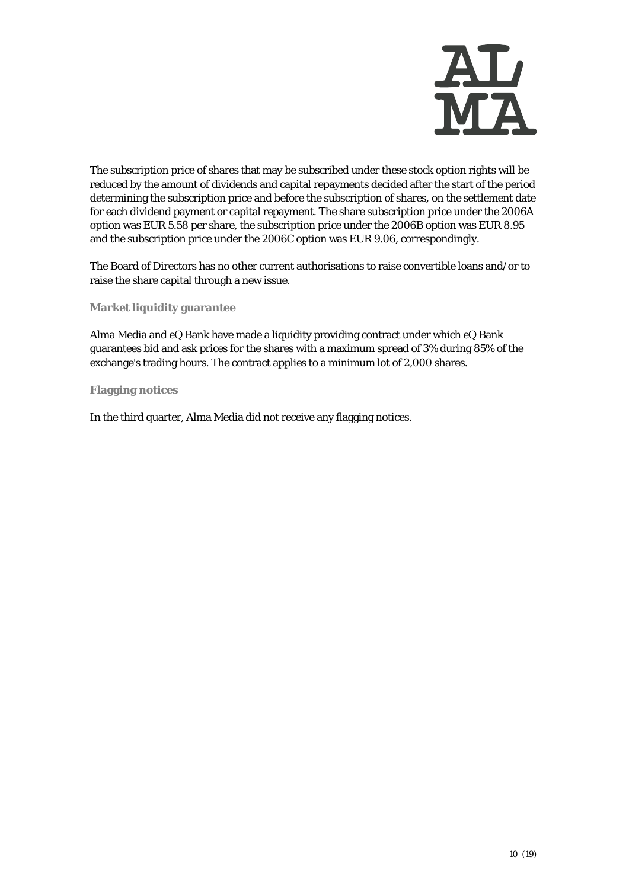

The subscription price of shares that may be subscribed under these stock option rights will be reduced by the amount of dividends and capital repayments decided after the start of the period determining the subscription price and before the subscription of shares, on the settlement date for each dividend payment or capital repayment. The share subscription price under the 2006A option was EUR 5.58 per share, the subscription price under the 2006B option was EUR 8.95 and the subscription price under the 2006C option was EUR 9.06, correspondingly.

The Board of Directors has no other current authorisations to raise convertible loans and/or to raise the share capital through a new issue.

**Market liquidity guarantee** 

Alma Media and eQ Bank have made a liquidity providing contract under which eQ Bank guarantees bid and ask prices for the shares with a maximum spread of 3% during 85% of the exchange's trading hours. The contract applies to a minimum lot of 2,000 shares.

**Flagging notices** 

In the third quarter, Alma Media did not receive any flagging notices.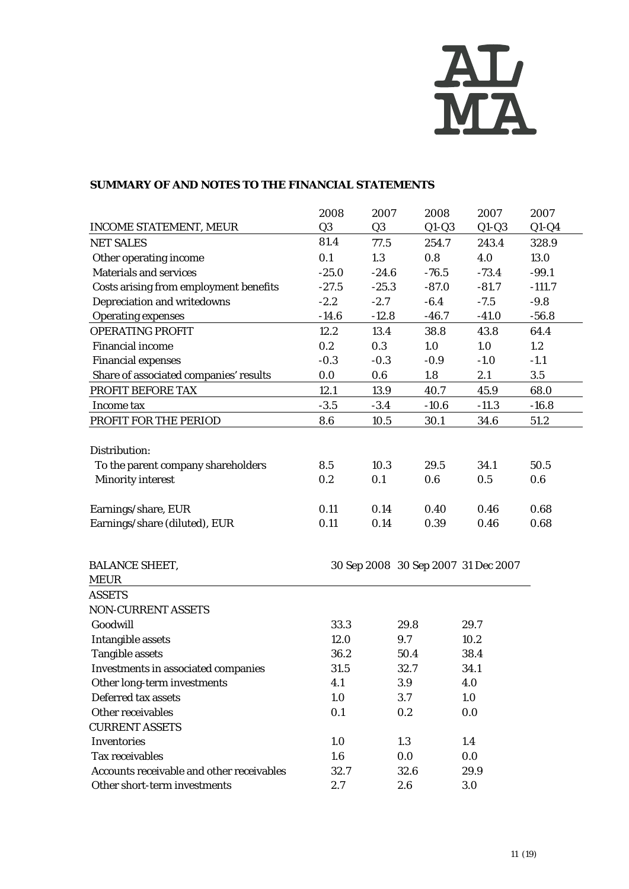

#### **SUMMARY OF AND NOTES TO THE FINANCIAL STATEMENTS**

|                                           | 2008             | 2007           | 2008                                | 2007    | 2007     |
|-------------------------------------------|------------------|----------------|-------------------------------------|---------|----------|
| <b>INCOME STATEMENT, MEUR</b>             | Q <sub>3</sub>   | Q <sub>3</sub> | $Q1-Q3$                             | $Q1-Q3$ | $Q1-Q4$  |
| <b>NET SALES</b>                          | 81.4             | 77.5           | 254.7                               | 243.4   | 328.9    |
| Other operating income                    | 0.1              | 1.3            | 0.8                                 | 4.0     | 13.0     |
| <b>Materials and services</b>             | $-25.0$          | $-24.6$        | $-76.5$                             | $-73.4$ | $-99.1$  |
| Costs arising from employment benefits    | $-27.5$          | $-25.3$        | $-87.0$                             | $-81.7$ | $-111.7$ |
| Depreciation and writedowns               | $-2.2$           | $-2.7$         | $-6.4$                              | $-7.5$  | $-9.8$   |
| <b>Operating expenses</b>                 | $-14.6$          | $-12.8$        | $-46.7$                             | $-41.0$ | $-56.8$  |
| <b>OPERATING PROFIT</b>                   | 12.2             | 13.4           | 38.8                                | 43.8    | 64.4     |
| <b>Financial income</b>                   | 0.2              | 0.3            | 1.0                                 | 1.0     | 1.2      |
| <b>Financial expenses</b>                 | $-0.3$           | $-0.3$         | $-0.9$                              | $-1.0$  | $-1.1$   |
| Share of associated companies' results    | 0.0              | 0.6            | 1.8                                 | 2.1     | $3.5\,$  |
| PROFIT BEFORE TAX                         | 12.1             | 13.9           | 40.7                                | 45.9    | 68.0     |
| Income tax                                | $-3.5$           | $-3.4$         | $-10.6$                             | $-11.3$ | $-16.8$  |
| PROFIT FOR THE PERIOD                     | 8.6              | 10.5           | 30.1                                | 34.6    | 51.2     |
|                                           |                  |                |                                     |         |          |
| Distribution:                             |                  |                |                                     |         |          |
| To the parent company shareholders        | 8.5              | 10.3           | 29.5                                | 34.1    | 50.5     |
| <b>Minority interest</b>                  | 0.2              | 0.1            | 0.6                                 | 0.5     | 0.6      |
|                                           |                  |                |                                     |         |          |
| Earnings/share, EUR                       | 0.11             | 0.14           | 0.40                                | 0.46    | 0.68     |
| Earnings/share (diluted), EUR             | 0.11             | 0.14           | 0.39                                | 0.46    | 0.68     |
|                                           |                  |                |                                     |         |          |
| <b>BALANCE SHEET,</b>                     |                  |                | 30 Sep 2008 30 Sep 2007 31 Dec 2007 |         |          |
| <b>MEUR</b>                               |                  |                |                                     |         |          |
| <b>ASSETS</b>                             |                  |                |                                     |         |          |
| <b>NON-CURRENT ASSETS</b>                 |                  |                |                                     |         |          |
| Goodwill                                  | 33.3             |                | 29.8                                | 29.7    |          |
| <b>Intangible assets</b>                  | 12.0             |                | 9.7                                 | 10.2    |          |
| <b>Tangible assets</b>                    | 36.2             |                | 50.4                                | 38.4    |          |
| Investments in associated companies       | 31.5             |                | 32.7                                | 34.1    |          |
| Other long-term investments               | 4.1              |                | 3.9                                 | 4.0     |          |
| Deferred tax assets                       | 1.0              |                | 3.7                                 | 1.0     |          |
| Other receivables                         | 0.1              |                | 0.2                                 | 0.0     |          |
| <b>CURRENT ASSETS</b>                     |                  |                |                                     |         |          |
| <b>Inventories</b>                        | 1.0              |                | 1.3                                 | 1.4     |          |
| Tax receivables                           | $1.6\phantom{0}$ |                | 0.0                                 | 0.0     |          |
| Accounts receivable and other receivables | 32.7             |                | 32.6                                | 29.9    |          |
| Other short-term investments              | 2.7              |                | 2.6                                 | 3.0     |          |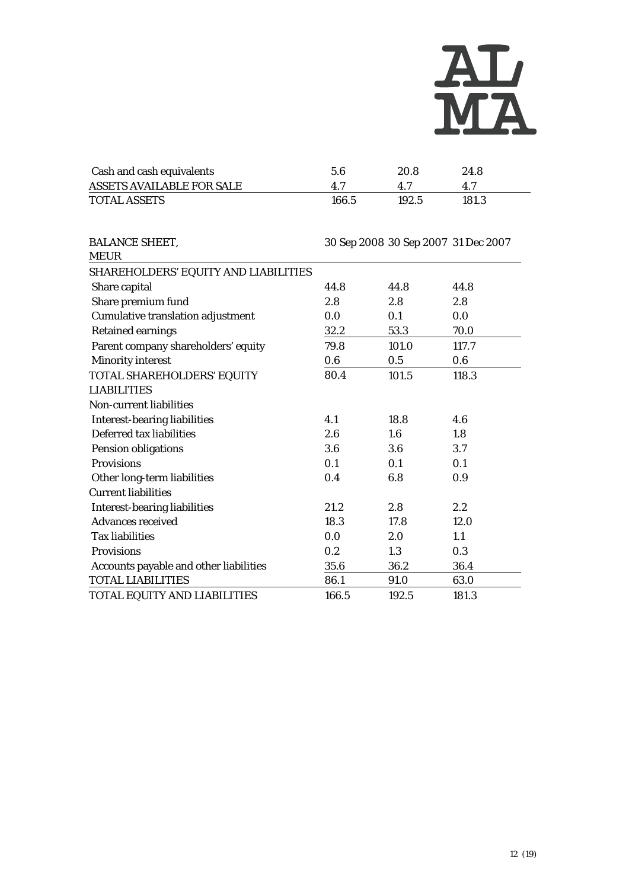

| Cash and cash equivalents        | 5.6   | 20.8  | 24.8  |
|----------------------------------|-------|-------|-------|
| <b>ASSETS AVAILABLE FOR SALE</b> | 47    |       |       |
| <b>TOTAL ASSETS</b>              | 166.5 | 192.5 | 181.3 |

| <b>BALANCE SHEET,</b>                    |       | 30 Sep 2008 30 Sep 2007 31 Dec 2007 |       |
|------------------------------------------|-------|-------------------------------------|-------|
| <b>MEUR</b>                              |       |                                     |       |
| SHAREHOLDERS' EQUITY AND LIABILITIES     |       |                                     |       |
| Share capital                            | 44.8  | 44.8                                | 44.8  |
| Share premium fund                       | 2.8   | 2.8                                 | 2.8   |
| <b>Cumulative translation adjustment</b> | 0.0   | 0.1                                 | 0.0   |
| <b>Retained earnings</b>                 | 32.2  | 53.3                                | 70.0  |
| Parent company shareholders' equity      | 79.8  | 101.0                               | 117.7 |
| <b>Minority interest</b>                 | 0.6   | 0.5                                 | 0.6   |
| TOTAL SHAREHOLDERS' EQUITY               | 80.4  | 101.5                               | 118.3 |
| <b>LIABILITIES</b>                       |       |                                     |       |
| <b>Non-current liabilities</b>           |       |                                     |       |
| <b>Interest-bearing liabilities</b>      | 4.1   | 18.8                                | 4.6   |
| Deferred tax liabilities                 | 2.6   | 1.6                                 | 1.8   |
| Pension obligations                      | 3.6   | 3.6                                 | 3.7   |
| <b>Provisions</b>                        | 0.1   | 0.1                                 | 0.1   |
| Other long-term liabilities              | 0.4   | 6.8                                 | 0.9   |
| <b>Current liabilities</b>               |       |                                     |       |
| <b>Interest-bearing liabilities</b>      | 21.2  | 2.8                                 | 2.2   |
| <b>Advances received</b>                 | 18.3  | 17.8                                | 12.0  |
| <b>Tax liabilities</b>                   | 0.0   | 2.0                                 | 1.1   |
| Provisions                               | 0.2   | 1.3                                 | 0.3   |
| Accounts payable and other liabilities   | 35.6  | 36.2                                | 36.4  |
| <b>TOTAL LIABILITIES</b>                 | 86.1  | 91.0                                | 63.0  |
| TOTAL EQUITY AND LIABILITIES             | 166.5 | 192.5                               | 181.3 |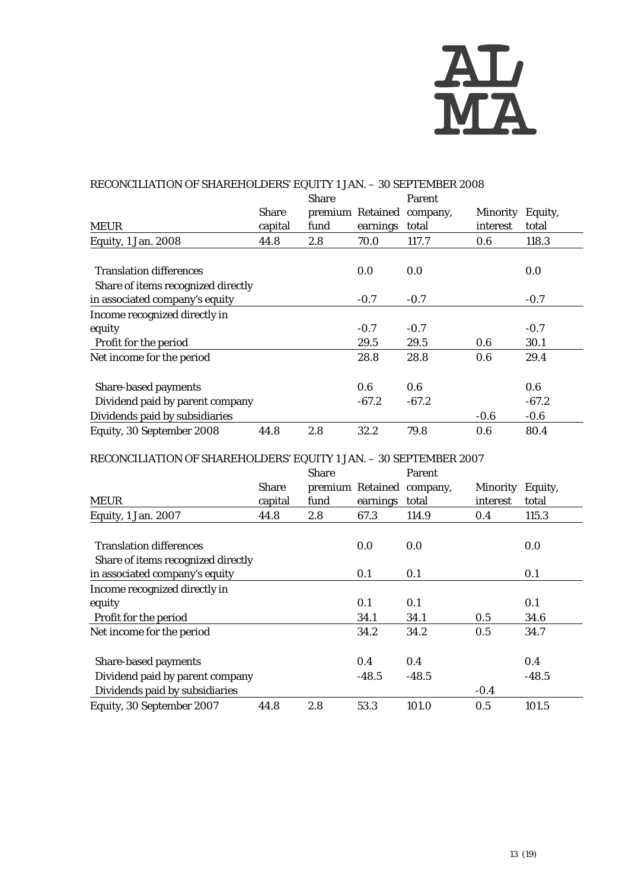

#### RECONCILIATION OF SHAREHOLDERS' EQUITY 1 JAN. – 30 SEPTEMBER 2008 MEUR Share capital Share premium Retained company, fund earnings Parent total Minority Equity, interest total Equity, 1 Jan. 2008 44.8 2.8 70.0 117.7 0.6 118.3 Translation differences and the control of the control of the control of the control of the control of the control of  $0.0$  Share of items recognized directly in associated company's equity  $-0.7$   $-0.7$   $-0.7$ Income recognized directly in equity -0.7 -0.7 -0.7 Profit for the period 29.5 29.5 0.6 30.1 Net income for the period 28.8 28.8 0.6 29.4 Share-based payments 0.6 0.6 0.6 0.6 0.6 Dividend paid by parent company -67.2 -67.2 -67.2 Dividends paid by subsidiaries  $-0.6$  -0.6  $-0.6$ Equity, 30 September 2008 44.8 2.8 32.2 79.8 0.6 80.4

### RECONCILIATION OF SHAREHOLDERS' EQUITY 1 JAN. – 30 SEPTEMBER 2007

|                                    |              | <b>Share</b> |          | Parent                    |                  |         |
|------------------------------------|--------------|--------------|----------|---------------------------|------------------|---------|
|                                    | <b>Share</b> |              |          | premium Retained company, | Minority Equity, |         |
| <b>MEUR</b>                        | capital      | fund         | earnings | total                     | interest         | total   |
| Equity, 1 Jan. 2007                | 44.8         | 2.8          | 67.3     | 114.9                     | 0.4              | 115.3   |
|                                    |              |              |          |                           |                  |         |
| <b>Translation differences</b>     |              |              | 0.0      | 0.0                       |                  | 0.0     |
| Share of items recognized directly |              |              |          |                           |                  |         |
| in associated company's equity     |              |              | 0.1      | 0.1                       |                  | 0.1     |
| Income recognized directly in      |              |              |          |                           |                  |         |
| equity                             |              |              | 0.1      | 0.1                       |                  | 0.1     |
| Profit for the period              |              |              | 34.1     | 34.1                      | 0.5              | 34.6    |
| Net income for the period          |              |              | 34.2     | 34.2                      | 0.5              | 34.7    |
| Share-based payments               |              |              | 0.4      | 0.4                       |                  | 0.4     |
| Dividend paid by parent company    |              |              | $-48.5$  | $-48.5$                   |                  | $-48.5$ |
| Dividends paid by subsidiaries     |              |              |          |                           | $-0.4$           |         |
| Equity, 30 September 2007          | 44.8         | 2.8          | 53.3     | 101.0                     | 0.5              | 101.5   |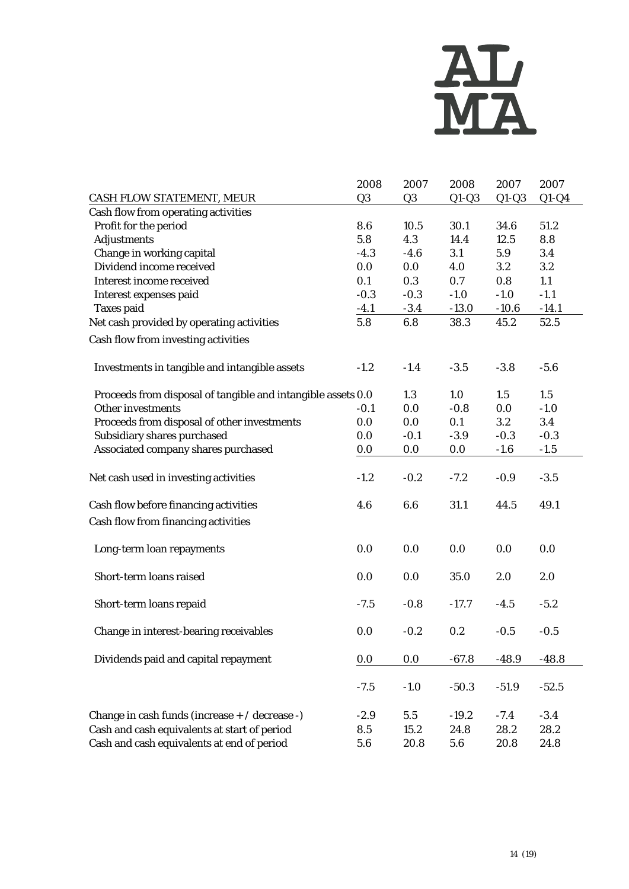

|                                                              | 2008           | 2007           | 2008    | 2007    | 2007    |
|--------------------------------------------------------------|----------------|----------------|---------|---------|---------|
| CASH FLOW STATEMENT, MEUR                                    | Q <sub>3</sub> | Q <sub>3</sub> | $Q1-Q3$ | $Q1-Q3$ | $Q1-Q4$ |
| Cash flow from operating activities                          |                |                |         |         |         |
| Profit for the period                                        | 8.6            | 10.5           | 30.1    | 34.6    | 51.2    |
| <b>Adjustments</b>                                           | 5.8            | 4.3            | 14.4    | 12.5    | 8.8     |
| Change in working capital                                    | $-4.3$         | $-4.6$         | 3.1     | 5.9     | 3.4     |
| Dividend income received                                     | 0.0            | $0.0\,$        | 4.0     | $3.2\,$ | $3.2\,$ |
| Interest income received                                     | 0.1            | 0.3            | 0.7     | 0.8     | 1.1     |
| Interest expenses paid                                       | $-0.3$         | $-0.3$         | $-1.0$  | $-1.0$  | $-1.1$  |
| <b>Taxes paid</b>                                            | $-4.1$         | $-3.4$         | $-13.0$ | $-10.6$ | $-14.1$ |
| Net cash provided by operating activities                    | 5.8            | 6.8            | 38.3    | 45.2    | 52.5    |
| Cash flow from investing activities                          |                |                |         |         |         |
| Investments in tangible and intangible assets                | $-1.2$         | $-1.4$         | $-3.5$  | $-3.8$  | $-5.6$  |
| Proceeds from disposal of tangible and intangible assets 0.0 |                | 1.3            | 1.0     | 1.5     | 1.5     |
| <b>Other investments</b>                                     | $-0.1$         | 0.0            | $-0.8$  | 0.0     | $-1.0$  |
| Proceeds from disposal of other investments                  | 0.0            | 0.0            | 0.1     | $3.2\,$ | 3.4     |
| Subsidiary shares purchased                                  | 0.0            | $-0.1$         | $-3.9$  | $-0.3$  | $-0.3$  |
| Associated company shares purchased                          | 0.0            | 0.0            | 0.0     | $-1.6$  | $-1.5$  |
|                                                              |                |                |         |         |         |
| Net cash used in investing activities                        | $-1.2$         | $-0.2$         | $-7.2$  | $-0.9$  | $-3.5$  |
| Cash flow before financing activities                        | 4.6            | 6.6            | 31.1    | 44.5    | 49.1    |
| Cash flow from financing activities                          |                |                |         |         |         |
| Long-term loan repayments                                    | 0.0            | 0.0            | 0.0     | 0.0     | 0.0     |
| Short-term loans raised                                      | 0.0            | 0.0            | 35.0    | 2.0     | 2.0     |
| Short-term loans repaid                                      | $-7.5$         | $-0.8$         | $-17.7$ | $-4.5$  | $-5.2$  |
| Change in interest-bearing receivables                       | 0.0            | $-0.2$         | 0.2     | $-0.5$  | $-0.5$  |
| Dividends paid and capital repayment                         | 0.0            | 0.0            | $-67.8$ | $-48.9$ | $-48.8$ |
|                                                              | $-7.5$         | $-1.0$         | $-50.3$ | $-51.9$ | $-52.5$ |
| Change in cash funds (increase + / decrease -)               | $-2.9$         | 5.5            | $-19.2$ | $-7.4$  | $-3.4$  |
| Cash and cash equivalents at start of period                 | 8.5            | 15.2           | 24.8    | 28.2    | 28.2    |
| Cash and cash equivalents at end of period                   | 5.6            | 20.8           | 5.6     | 20.8    | 24.8    |
|                                                              |                |                |         |         |         |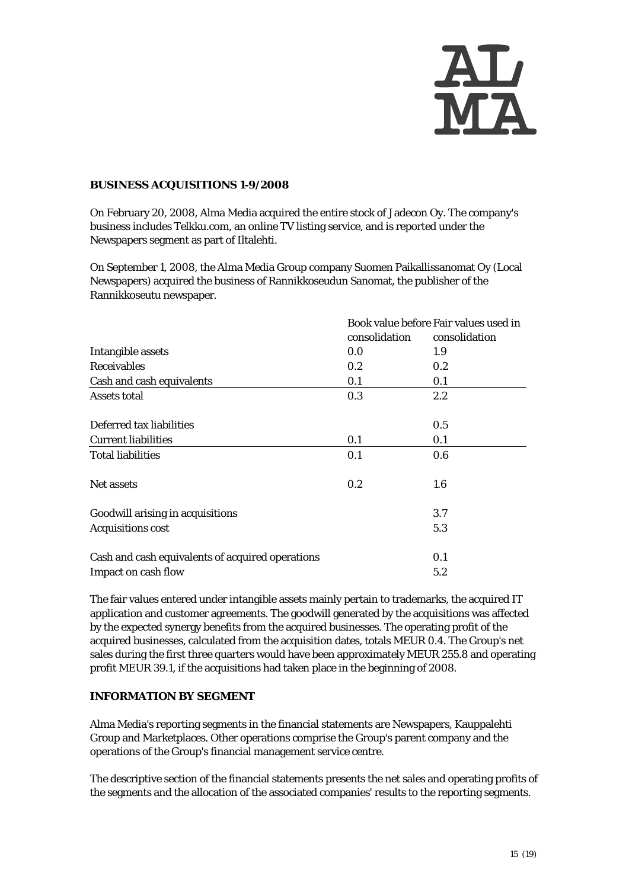

#### **BUSINESS ACQUISITIONS 1-9/2008**

On February 20, 2008, Alma Media acquired the entire stock of Jadecon Oy. The company's business includes Telkku.com, an online TV listing service, and is reported under the Newspapers segment as part of Iltalehti.

On September 1, 2008, the Alma Media Group company Suomen Paikallissanomat Oy (Local Newspapers) acquired the business of Rannikkoseudun Sanomat, the publisher of the Rannikkoseutu newspaper.

|                                                  | consolidation | Book value before Fair values used in<br>consolidation |
|--------------------------------------------------|---------------|--------------------------------------------------------|
| Intangible assets                                | 0.0           | 1.9                                                    |
| <b>Receivables</b>                               | 0.2           | 0.2                                                    |
| Cash and cash equivalents                        | 0.1           | 0.1                                                    |
| <b>Assets total</b>                              | 0.3           | $2.2\,$                                                |
| Deferred tax liabilities                         |               | 0.5                                                    |
| <b>Current liabilities</b>                       | 0.1           | 0.1                                                    |
| <b>Total liabilities</b>                         | 0.1           | 0.6                                                    |
| Net assets                                       | 0.2           | 1.6                                                    |
| Goodwill arising in acquisitions                 |               | 3.7                                                    |
| <b>Acquisitions cost</b>                         |               | 5.3                                                    |
| Cash and cash equivalents of acquired operations |               | 0.1                                                    |
| Impact on cash flow                              |               | 5.2                                                    |

The fair values entered under intangible assets mainly pertain to trademarks, the acquired IT application and customer agreements. The goodwill generated by the acquisitions was affected by the expected synergy benefits from the acquired businesses. The operating profit of the acquired businesses, calculated from the acquisition dates, totals MEUR 0.4. The Group's net sales during the first three quarters would have been approximately MEUR 255.8 and operating profit MEUR 39.1, if the acquisitions had taken place in the beginning of 2008.

#### **INFORMATION BY SEGMENT**

Alma Media's reporting segments in the financial statements are Newspapers, Kauppalehti Group and Marketplaces. Other operations comprise the Group's parent company and the operations of the Group's financial management service centre.

The descriptive section of the financial statements presents the net sales and operating profits of the segments and the allocation of the associated companies' results to the reporting segments.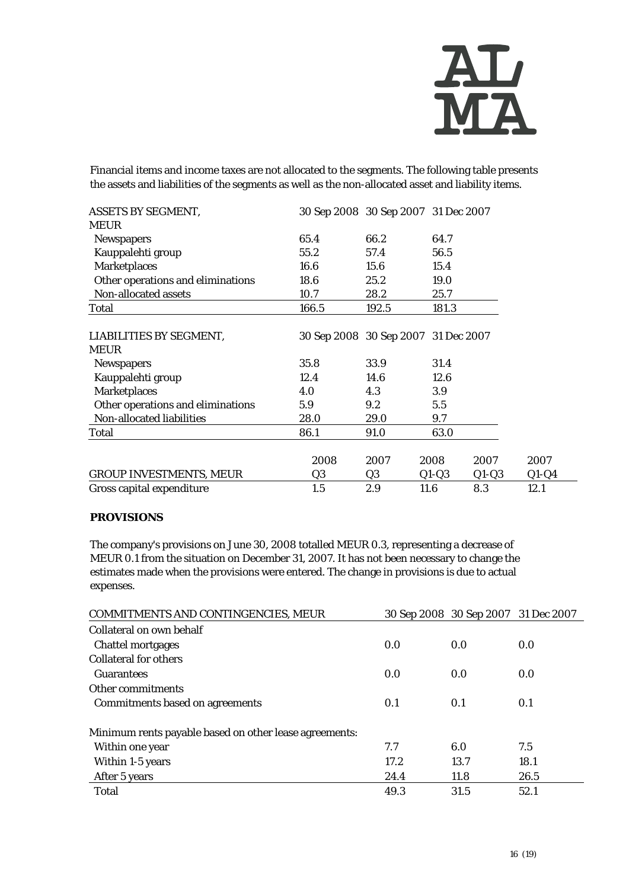

Financial items and income taxes are not allocated to the segments. The following table presents the assets and liabilities of the segments as well as the non-allocated asset and liability items.

| <b>ASSETS BY SEGMENT,</b>              | 30 Sep 2008 30 Sep 2007 31 Dec 2007 |       |         |         |         |
|----------------------------------------|-------------------------------------|-------|---------|---------|---------|
| <b>MEUR</b>                            |                                     |       |         |         |         |
| <b>Newspapers</b>                      | 65.4                                | 66.2  | 64.7    |         |         |
| Kauppalehti group                      | 55.2                                | 57.4  | 56.5    |         |         |
| <b>Marketplaces</b>                    | 16.6                                | 15.6  | 15.4    |         |         |
| Other operations and eliminations      | 18.6                                | 25.2  | 19.0    |         |         |
| Non-allocated assets                   | 10.7                                | 28.2  | 25.7    |         |         |
| Total                                  | 166.5                               | 192.5 | 181.3   |         |         |
| LIABILITIES BY SEGMENT,<br><b>MEUR</b> | 30 Sep 2008 30 Sep 2007 31 Dec 2007 |       |         |         |         |
| <b>Newspapers</b>                      | 35.8                                | 33.9  | 31.4    |         |         |
| Kauppalehti group                      | 12.4                                | 14.6  | 12.6    |         |         |
| <b>Marketplaces</b>                    | 4.0                                 | 4.3   | 3.9     |         |         |
| Other operations and eliminations      | 5.9                                 | 9.2   | 5.5     |         |         |
| Non-allocated liabilities              | 28.0                                | 29.0  | 9.7     |         |         |
| Total                                  | 86.1                                | 91.0  | 63.0    |         |         |
|                                        | 2008                                | 2007  | 2008    | 2007    | 2007    |
| <b>GROUP INVESTMENTS, MEUR</b>         | Q3                                  | Q3    | $Q1-Q3$ | $Q1-Q3$ | $Q1-Q4$ |
| Gross capital expenditure              | 1.5                                 | 2.9   | 11.6    | 8.3     | 12.1    |

#### **PROVISIONS**

The company's provisions on June 30, 2008 totalled MEUR 0.3, representing a decrease of MEUR 0.1 from the situation on December 31, 2007. It has not been necessary to change the estimates made when the provisions were entered. The change in provisions is due to actual expenses.

| <b>COMMITMENTS AND CONTINGENCIES, MEUR</b>             |      | 30 Sep 2008 30 Sep 2007 31 Dec 2007 |      |
|--------------------------------------------------------|------|-------------------------------------|------|
| Collateral on own behalf                               |      |                                     |      |
| <b>Chattel mortgages</b>                               | 0.0  | 0.0                                 | 0.0  |
| <b>Collateral for others</b>                           |      |                                     |      |
| <b>Guarantees</b>                                      | 0.0  | 0.0                                 | 0.0  |
| Other commitments                                      |      |                                     |      |
| Commitments based on agreements                        | 0.1  | 0.1                                 | 0.1  |
| Minimum rents payable based on other lease agreements: |      |                                     |      |
| Within one year                                        | 7.7  | 6.0                                 | 7.5  |
| Within 1-5 years                                       | 17.2 | 13.7                                | 18.1 |
| After 5 years                                          | 24.4 | 11.8                                | 26.5 |
| Total                                                  | 49.3 | 31.5                                | 52.1 |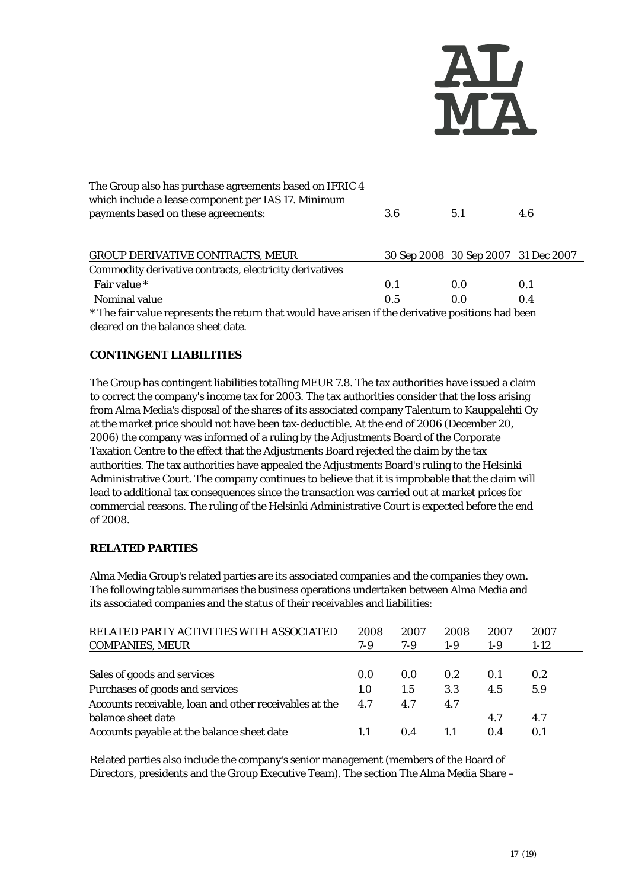

| 3.6 | 5.1 | 4.6                                                                                                                                       |
|-----|-----|-------------------------------------------------------------------------------------------------------------------------------------------|
|     |     |                                                                                                                                           |
|     |     |                                                                                                                                           |
| 0.1 | 0.0 | 0.1                                                                                                                                       |
| 0.5 | 0.0 | 0.4                                                                                                                                       |
|     |     |                                                                                                                                           |
|     |     | 30 Sep 2008 30 Sep 2007 31 Dec 2007<br>* The fair value represents the return that would have arisen if the derivative positions had been |

cleared on the balance sheet date.

#### **CONTINGENT LIABILITIES**

The Group has contingent liabilities totalling MEUR 7.8. The tax authorities have issued a claim to correct the company's income tax for 2003. The tax authorities consider that the loss arising from Alma Media's disposal of the shares of its associated company Talentum to Kauppalehti Oy at the market price should not have been tax-deductible. At the end of 2006 (December 20, 2006) the company was informed of a ruling by the Adjustments Board of the Corporate Taxation Centre to the effect that the Adjustments Board rejected the claim by the tax authorities. The tax authorities have appealed the Adjustments Board's ruling to the Helsinki Administrative Court. The company continues to believe that it is improbable that the claim will lead to additional tax consequences since the transaction was carried out at market prices for commercial reasons. The ruling of the Helsinki Administrative Court is expected before the end of 2008.

#### **RELATED PARTIES**

Alma Media Group's related parties are its associated companies and the companies they own. The following table summarises the business operations undertaken between Alma Media and its associated companies and the status of their receivables and liabilities:

| RELATED PARTY ACTIVITIES WITH ASSOCIATED               | 2008 | 2007 | 2008  | 2007  | 2007             |
|--------------------------------------------------------|------|------|-------|-------|------------------|
| <b>COMPANIES, MEUR</b>                                 | 7-9  | 7-9  | $1-9$ | $1-9$ | $1-12$           |
|                                                        |      |      |       |       |                  |
| Sales of goods and services                            | 0.0  | 0.0  | 0.2   | 0.1   | 0.2 <sub>2</sub> |
| Purchases of goods and services                        | 1.0  | 1.5  | 3.3   | 4.5   | 5.9              |
| Accounts receivable, loan and other receivables at the | 4.7  | 4.7  | 4.7   |       |                  |
| balance sheet date                                     |      |      |       | 4.7   | 4.7              |
| Accounts payable at the balance sheet date             |      | 0.4  |       | 0.4   | 0.1              |

Related parties also include the company's senior management (members of the Board of Directors, presidents and the Group Executive Team). The section The Alma Media Share –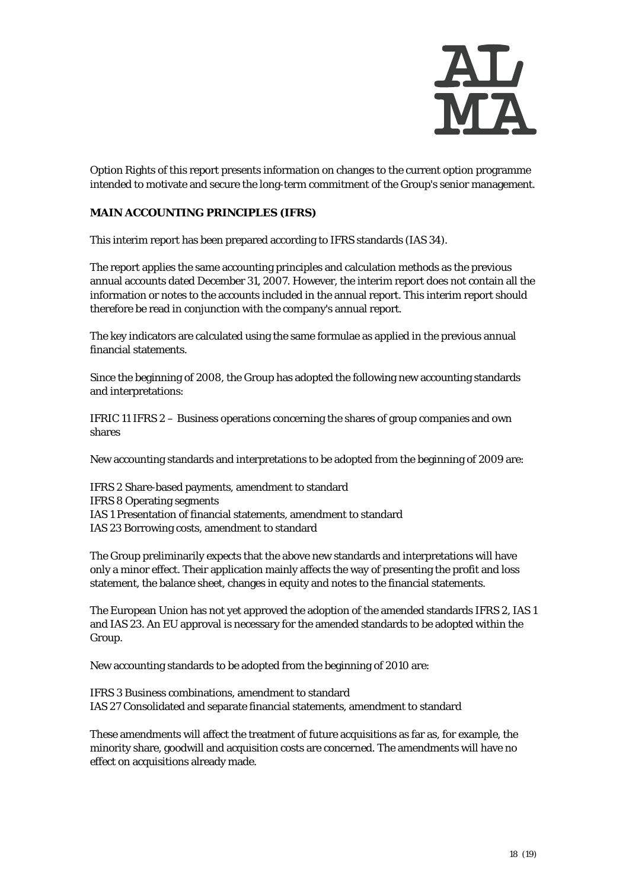

Option Rights of this report presents information on changes to the current option programme intended to motivate and secure the long-term commitment of the Group's senior management.

#### **MAIN ACCOUNTING PRINCIPLES (IFRS)**

This interim report has been prepared according to IFRS standards (IAS 34).

The report applies the same accounting principles and calculation methods as the previous annual accounts dated December 31, 2007. However, the interim report does not contain all the information or notes to the accounts included in the annual report. This interim report should therefore be read in conjunction with the company's annual report.

The key indicators are calculated using the same formulae as applied in the previous annual financial statements.

Since the beginning of 2008, the Group has adopted the following new accounting standards and interpretations:

IFRIC 11 IFRS 2 – Business operations concerning the shares of group companies and own shares

New accounting standards and interpretations to be adopted from the beginning of 2009 are:

IFRS 2 Share-based payments, amendment to standard IFRS 8 Operating segments IAS 1 Presentation of financial statements, amendment to standard IAS 23 Borrowing costs, amendment to standard

The Group preliminarily expects that the above new standards and interpretations will have only a minor effect. Their application mainly affects the way of presenting the profit and loss statement, the balance sheet, changes in equity and notes to the financial statements.

The European Union has not yet approved the adoption of the amended standards IFRS 2, IAS 1 and IAS 23. An EU approval is necessary for the amended standards to be adopted within the Group.

New accounting standards to be adopted from the beginning of 2010 are:

IFRS 3 Business combinations, amendment to standard IAS 27 Consolidated and separate financial statements, amendment to standard

These amendments will affect the treatment of future acquisitions as far as, for example, the minority share, goodwill and acquisition costs are concerned. The amendments will have no effect on acquisitions already made.